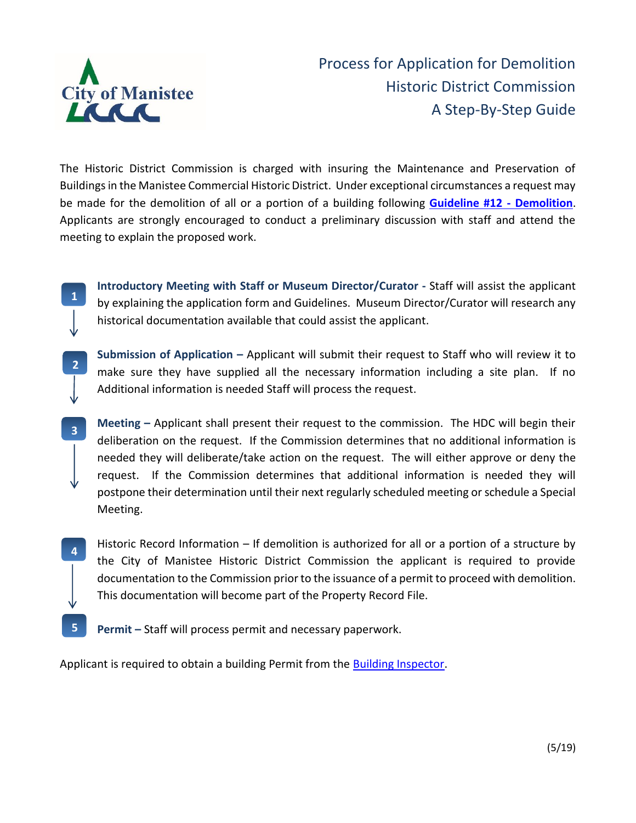

**1**

**2**

**3**

**4**

Process for Application for Demolition Historic District Commission A Step-By-Step Guide

The Historic District Commission is charged with insuring the Maintenance and Preservation of Buildings in the Manistee Commercial Historic District. Under exceptional circumstances a request may be made for the demolition of all or a portion of a building following **[Guideline #12 -](http://manisteemi.gov/DocumentCenter/Home/View/505) Demolition**. Applicants are strongly encouraged to conduct a preliminary discussion with staff and attend the meeting to explain the proposed work.

**Introductory Meeting with Staff or Museum Director/Curator -** Staff will assist the applicant by explaining the application form and Guidelines. Museum Director/Curator will research any historical documentation available that could assist the applicant.

**Submission of Application –** Applicant will submit their request to Staff who will review it to make sure they have supplied all the necessary information including a site plan. If no Additional information is needed Staff will process the request.

**Meeting –** Applicant shall present their request to the commission. The HDC will begin their deliberation on the request. If the Commission determines that no additional information is needed they will deliberate/take action on the request. The will either approve or deny the request. If the Commission determines that additional information is needed they will postpone their determination until their next regularly scheduled meeting or schedule a Special Meeting.

Historic Record Information – If demolition is authorized for all or a portion of a structure by the City of Manistee Historic District Commission the applicant is required to provide documentation to the Commission prior to the issuance of a permit to proceed with demolition. This documentation will become part of the Property Record File.

**Permit –** Staff will process permit and necessary paperwork. **5**

Applicant is required to obtain a building Permit from the [Building Inspector.](http://www.manisteemi.gov/index.aspx?nid=96)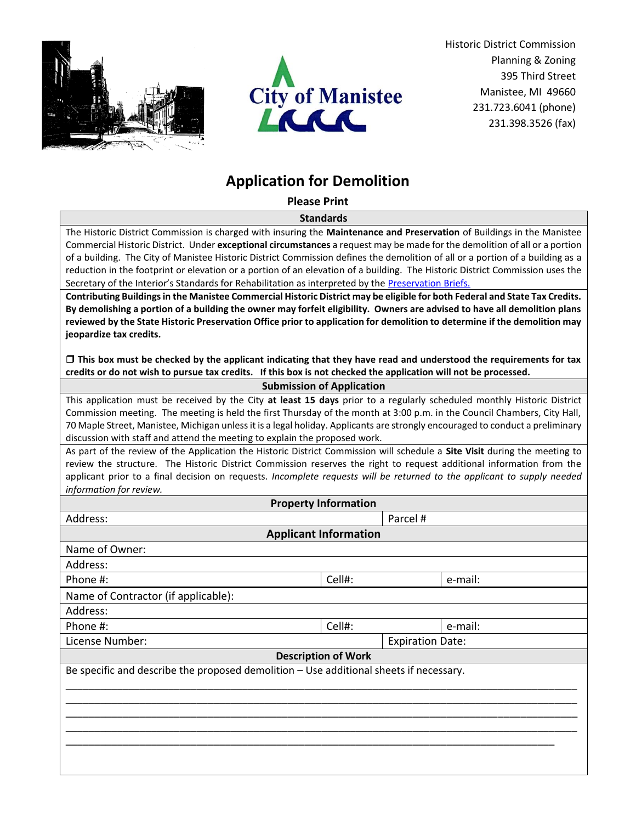



Historic District Commission Planning & Zoning 395 Third Street Manistee, MI 49660 231.723.6041 (phone) 231.398.3526 (fax)

## **Application for Demolition**

**Please Print**

**Standards**

The Historic District Commission is charged with insuring the **Maintenance and Preservation** of Buildings in the Manistee Commercial Historic District. Under **exceptional circumstances** a request may be made for the demolition of all or a portion of a building. The City of Manistee Historic District Commission defines the demolition of all or a portion of a building as a reduction in the footprint or elevation or a portion of an elevation of a building. The Historic District Commission uses the Secretary of the Interior's Standards for Rehabilitation as interpreted by the Preservation Briefs.

**Contributing Buildings in the Manistee Commercial Historic District may be eligible for both Federal and State Tax Credits. By demolishing a portion of a building the owner may forfeit eligibility. Owners are advised to have all demolition plans reviewed by the State Historic Preservation Office prior to application for demolition to determine if the demolition may jeopardize tax credits.** 

 **This box must be checked by the applicant indicating that they have read and understood the requirements for tax credits or do not wish to pursue tax credits. If this box is not checked the application will not be processed.**

|  |  | <b>Submission of Application</b> |
|--|--|----------------------------------|
|--|--|----------------------------------|

This application must be received by the City **at least 15 days** prior to a regularly scheduled monthly Historic District Commission meeting. The meeting is held the first Thursday of the month at 3:00 p.m. in the Council Chambers, City Hall, 70 Maple Street, Manistee, Michigan unless it is a legal holiday. Applicants are strongly encouraged to conduct a preliminary discussion with staff and attend the meeting to explain the proposed work.

As part of the review of the Application the Historic District Commission will schedule a **Site Visit** during the meeting to review the structure. The Historic District Commission reserves the right to request additional information from the applicant prior to a final decision on requests. *Incomplete requests will be returned to the applicant to supply needed information for review.* 

| <b>Property Information</b>                                                            |          |  |                         |  |  |  |  |  |
|----------------------------------------------------------------------------------------|----------|--|-------------------------|--|--|--|--|--|
| Address:                                                                               | Parcel # |  |                         |  |  |  |  |  |
| <b>Applicant Information</b>                                                           |          |  |                         |  |  |  |  |  |
| Name of Owner:                                                                         |          |  |                         |  |  |  |  |  |
| Address:                                                                               |          |  |                         |  |  |  |  |  |
| Phone #:                                                                               | Cell#:   |  | e-mail:                 |  |  |  |  |  |
| Name of Contractor (if applicable):                                                    |          |  |                         |  |  |  |  |  |
| Address:                                                                               |          |  |                         |  |  |  |  |  |
| Phone #:                                                                               | Cell#:   |  | e-mail:                 |  |  |  |  |  |
| License Number:                                                                        |          |  | <b>Expiration Date:</b> |  |  |  |  |  |
| <b>Description of Work</b>                                                             |          |  |                         |  |  |  |  |  |
| Be specific and describe the proposed demolition - Use additional sheets if necessary. |          |  |                         |  |  |  |  |  |
|                                                                                        |          |  |                         |  |  |  |  |  |
|                                                                                        |          |  |                         |  |  |  |  |  |
|                                                                                        |          |  |                         |  |  |  |  |  |
|                                                                                        |          |  |                         |  |  |  |  |  |
|                                                                                        |          |  |                         |  |  |  |  |  |
|                                                                                        |          |  |                         |  |  |  |  |  |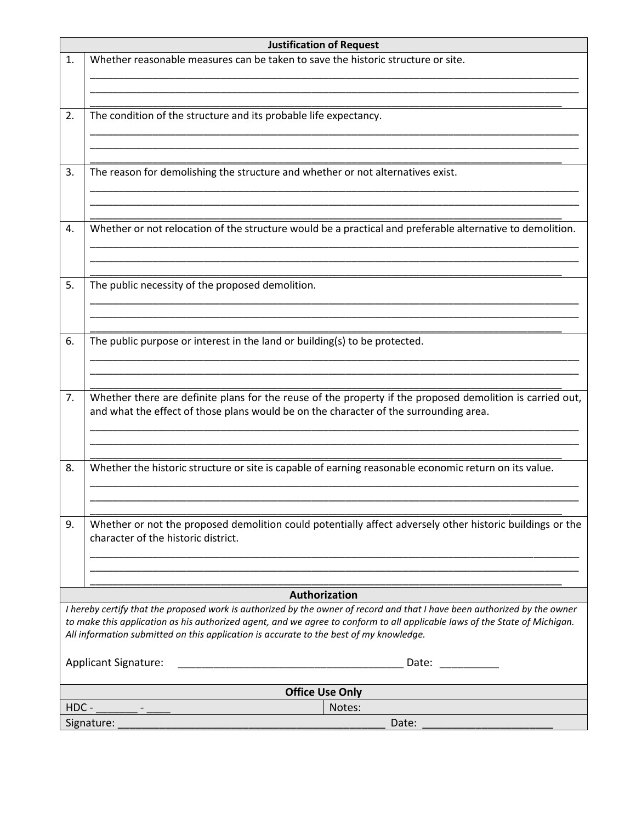| <b>Justification of Request</b>                                                                                                                                                                                                                                                                                                                   |                                                                                                                                                                                                                                                                                                                                                                                        |  |  |  |  |  |  |
|---------------------------------------------------------------------------------------------------------------------------------------------------------------------------------------------------------------------------------------------------------------------------------------------------------------------------------------------------|----------------------------------------------------------------------------------------------------------------------------------------------------------------------------------------------------------------------------------------------------------------------------------------------------------------------------------------------------------------------------------------|--|--|--|--|--|--|
| 1.                                                                                                                                                                                                                                                                                                                                                | Whether reasonable measures can be taken to save the historic structure or site.                                                                                                                                                                                                                                                                                                       |  |  |  |  |  |  |
| 2.                                                                                                                                                                                                                                                                                                                                                | The condition of the structure and its probable life expectancy.                                                                                                                                                                                                                                                                                                                       |  |  |  |  |  |  |
| 3.                                                                                                                                                                                                                                                                                                                                                | The reason for demolishing the structure and whether or not alternatives exist.                                                                                                                                                                                                                                                                                                        |  |  |  |  |  |  |
| 4.                                                                                                                                                                                                                                                                                                                                                | Whether or not relocation of the structure would be a practical and preferable alternative to demolition.                                                                                                                                                                                                                                                                              |  |  |  |  |  |  |
| 5.                                                                                                                                                                                                                                                                                                                                                | The public necessity of the proposed demolition.                                                                                                                                                                                                                                                                                                                                       |  |  |  |  |  |  |
| 6.                                                                                                                                                                                                                                                                                                                                                | The public purpose or interest in the land or building(s) to be protected.                                                                                                                                                                                                                                                                                                             |  |  |  |  |  |  |
| 7.                                                                                                                                                                                                                                                                                                                                                | Whether there are definite plans for the reuse of the property if the proposed demolition is carried out,<br>and what the effect of those plans would be on the character of the surrounding area.                                                                                                                                                                                     |  |  |  |  |  |  |
| 8.                                                                                                                                                                                                                                                                                                                                                | Whether the historic structure or site is capable of earning reasonable economic return on its value.                                                                                                                                                                                                                                                                                  |  |  |  |  |  |  |
| 9.                                                                                                                                                                                                                                                                                                                                                | Whether or not the proposed demolition could potentially affect adversely other historic buildings or the<br>character of the historic district.                                                                                                                                                                                                                                       |  |  |  |  |  |  |
|                                                                                                                                                                                                                                                                                                                                                   |                                                                                                                                                                                                                                                                                                                                                                                        |  |  |  |  |  |  |
|                                                                                                                                                                                                                                                                                                                                                   | Authorization                                                                                                                                                                                                                                                                                                                                                                          |  |  |  |  |  |  |
| I hereby certify that the proposed work is authorized by the owner of record and that I have been authorized by the owner<br>to make this application as his authorized agent, and we agree to conform to all applicable laws of the State of Michigan.<br>All information submitted on this application is accurate to the best of my knowledge. |                                                                                                                                                                                                                                                                                                                                                                                        |  |  |  |  |  |  |
|                                                                                                                                                                                                                                                                                                                                                   | <b>Applicant Signature:</b><br>Date: National Contract of the Second Second Second Second Second Second Second Second Second Second Second Second Second Second Second Second Second Second Second Second Second Second Second Second Second Second Second Se<br><u> 1989 - Johann John Stone, markin amerikan bisa di sebagai persebut dan bisa di sebagai persebut dan bisa di s</u> |  |  |  |  |  |  |
| <b>Office Use Only</b>                                                                                                                                                                                                                                                                                                                            |                                                                                                                                                                                                                                                                                                                                                                                        |  |  |  |  |  |  |
| HDC-<br>Notes:                                                                                                                                                                                                                                                                                                                                    |                                                                                                                                                                                                                                                                                                                                                                                        |  |  |  |  |  |  |
|                                                                                                                                                                                                                                                                                                                                                   | Signature:<br>Date:                                                                                                                                                                                                                                                                                                                                                                    |  |  |  |  |  |  |